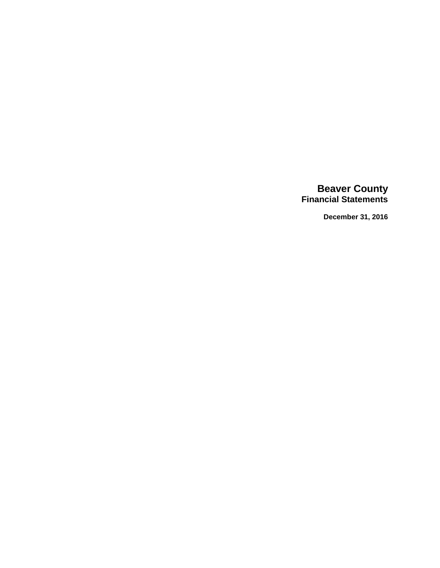# **Beaver County Financial Statements**

**December 31, 2016**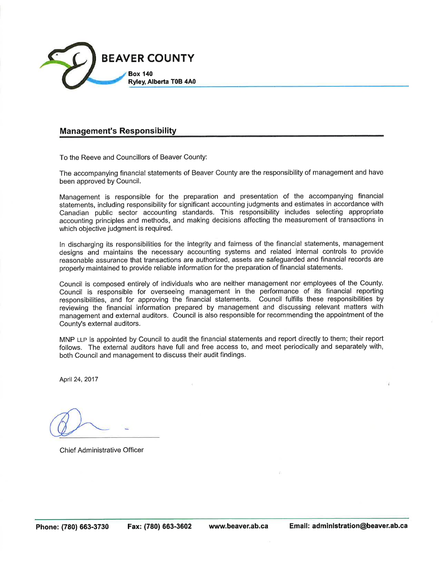

# **Management's Responsibility**

To the Reeve and Councillors of Beaver County:

The accompanying financial statements of Beaver County are the responsibility of management and have been approved by Council.

Management is responsible for the preparation and presentation of the accompanying financial statements, including responsibility for significant accounting judgments and estimates in accordance with Canadian public sector accounting standards. This responsibility includes selecting appropriate accounting principles and methods, and making decisions affecting the measurement of transactions in which objective judgment is required.

In discharging its responsibilities for the integrity and fairness of the financial statements, management designs and maintains the necessary accounting systems and related internal controls to provide reasonable assurance that transactions are authorized, assets are safeguarded and financial records are properly maintained to provide reliable information for the preparation of financial statements.

Council is composed entirely of individuals who are neither management nor employees of the County. Council is responsible for overseeing management in the performance of its financial reporting responsibilities, and for approving the financial statements. Council fulfills these responsibilities by reviewing the financial information prepared by management and discussing relevant matters with management and external auditors. Council is also responsible for recommending the appointment of the County's external auditors.

MNP LLP is appointed by Council to audit the financial statements and report directly to them; their report follows. The external auditors have full and free access to, and meet periodically and separately with, both Council and management to discuss their audit findings.

April 24, 2017

Chief Administrative Officer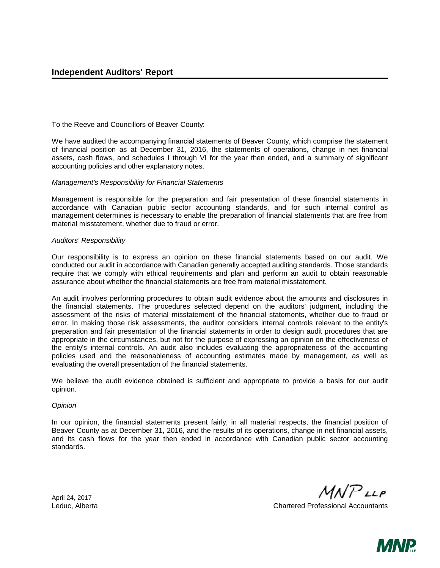To the Reeve and Councillors of Beaver County:

We have audited the accompanying financial statements of Beaver County, which comprise the statement of financial position as at December 31, 2016, the statements of operations, change in net financial assets, cash flows, and schedules I through VI for the year then ended, and a summary of significant accounting policies and other explanatory notes.

# *Management's Responsibility for Financial Statements*

Management is responsible for the preparation and fair presentation of these financial statements in accordance with Canadian public sector accounting standards, and for such internal control as management determines is necessary to enable the preparation of financial statements that are free from material misstatement, whether due to fraud or error.

#### *Auditors' Responsibility*

Our responsibility is to express an opinion on these financial statements based on our audit. We conducted our audit in accordance with Canadian generally accepted auditing standards. Those standards require that we comply with ethical requirements and plan and perform an audit to obtain reasonable assurance about whether the financial statements are free from material misstatement.

An audit involves performing procedures to obtain audit evidence about the amounts and disclosures in the financial statements. The procedures selected depend on the auditors' judgment, including the assessment of the risks of material misstatement of the financial statements, whether due to fraud or error. In making those risk assessments, the auditor considers internal controls relevant to the entity's preparation and fair presentation of the financial statements in order to design audit procedures that are appropriate in the circumstances, but not for the purpose of expressing an opinion on the effectiveness of the entity's internal controls. An audit also includes evaluating the appropriateness of the accounting policies used and the reasonableness of accounting estimates made by management, as well as evaluating the overall presentation of the financial statements.

We believe the audit evidence obtained is sufficient and appropriate to provide a basis for our audit opinion.

# *Opinion*

In our opinion, the financial statements present fairly, in all material respects, the financial position of Beaver County as at December 31, 2016, and the results of its operations, change in net financial assets, and its cash flows for the year then ended in accordance with Canadian public sector accounting standards.

 $M N P$ <sub>LLP</sub>

April 24, 2017

Leduc, Alberta Chartered Professional Accountants

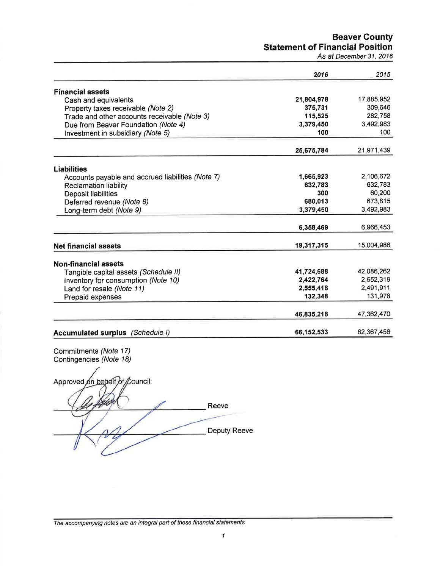# **Beaver County Statement of Financial Position**

As at December 31, 2016

|                                                   | 2016       | 2015       |
|---------------------------------------------------|------------|------------|
| <b>Financial assets</b>                           |            |            |
| Cash and equivalents                              | 21,804,978 | 17,885,952 |
| Property taxes receivable (Note 2)                | 375,731    | 309,646    |
| Trade and other accounts receivable (Note 3)      | 115,525    | 282,758    |
| Due from Beaver Foundation (Note 4)               | 3,379,450  | 3,492,983  |
| Investment in subsidiary (Note 5)                 | 100        | 100        |
|                                                   | 25,675,784 | 21,971,439 |
| <b>Liabilities</b>                                |            |            |
| Accounts payable and accrued liabilities (Note 7) | 1,665,923  | 2,106,672  |
| <b>Reclamation liability</b>                      | 632,783    | 632,783    |
| Deposit liabilities                               | 300        | 60,200     |
| Deferred revenue (Note 8)                         | 680,013    | 673,815    |
| Long-term debt (Note 9)                           | 3,379,450  | 3,492,983  |
|                                                   | 6,358,469  | 6,966,453  |
|                                                   |            |            |
| <b>Net financial assets</b>                       | 19,317,315 | 15,004,986 |
| <b>Non-financial assets</b>                       |            |            |
| Tangible capital assets (Schedule II)             | 41,724,688 | 42,086,262 |
| Inventory for consumption (Note 10)               | 2,422,764  | 2,652,319  |
| Land for resale (Note 11)                         | 2,555,418  | 2,491,911  |
| Prepaid expenses                                  | 132,348    | 131,978    |
|                                                   | 46,835,218 | 47,362,470 |
| Accumulated surplus (Schedule I)                  | 66,152,533 | 62,367,456 |

Commitments (Note 17)<br>Contingencies (Note 18) Approved on behalf of Council: Reeve Deputy Reeve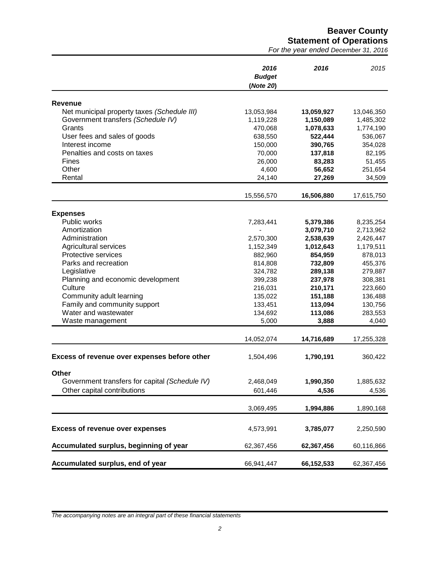**Beaver County**

**Statement of Operations**

| For the year ended December 31, 2016 |  |
|--------------------------------------|--|
|--------------------------------------|--|

|                                                          | 2016<br><b>Budget</b><br>(Note 20) | 2016             | 2015             |
|----------------------------------------------------------|------------------------------------|------------------|------------------|
| <b>Revenue</b>                                           |                                    |                  |                  |
| Net municipal property taxes (Schedule III)              | 13,053,984                         | 13,059,927       | 13,046,350       |
| Government transfers (Schedule IV)                       | 1,119,228                          | 1,150,089        | 1,485,302        |
| Grants                                                   | 470,068                            | 1,078,633        | 1,774,190        |
| User fees and sales of goods                             | 638,550                            | 522,444          | 536,067          |
| Interest income                                          | 150,000                            | 390,765          | 354,028          |
| Penalties and costs on taxes                             | 70,000                             | 137,818          | 82,195           |
| Fines                                                    | 26,000                             | 83,283           | 51,455           |
| Other                                                    | 4,600                              | 56,652           | 251,654          |
| Rental                                                   | 24,140                             | 27,269           | 34,509           |
|                                                          | 15,556,570                         | 16,506,880       | 17,615,750       |
|                                                          |                                    |                  |                  |
| <b>Expenses</b>                                          |                                    |                  |                  |
| Public works                                             | 7,283,441                          | 5,379,386        | 8,235,254        |
| Amortization                                             |                                    | 3,079,710        | 2,713,962        |
| Administration                                           | 2,570,300                          | 2,538,639        | 2,426,447        |
| Agricultural services                                    | 1,152,349                          | 1,012,643        | 1,179,511        |
| Protective services                                      | 882,960                            | 854,959          | 878,013          |
| Parks and recreation                                     | 814,808                            | 732,809          | 455,376          |
| Legislative                                              | 324,782                            | 289,138          | 279,887          |
| Planning and economic development                        | 399,238                            | 237,978          | 308,381          |
| Culture                                                  | 216,031                            | 210,171          | 223,660          |
| Community adult learning<br>Family and community support | 135,022                            | 151,188          | 136,488          |
| Water and wastewater                                     | 133,451                            | 113,094          | 130,756          |
| Waste management                                         | 134,692<br>5,000                   | 113,086<br>3,888 | 283,553<br>4,040 |
|                                                          |                                    |                  |                  |
|                                                          | 14,052,074                         | 14,716,689       | 17,255,328       |
| Excess of revenue over expenses before other             | 1,504,496                          | 1,790,191        | 360,422          |
| <b>Other</b>                                             |                                    |                  |                  |
| Government transfers for capital (Schedule IV)           | 2,468,049                          | 1,990,350        | 1,885,632        |
| Other capital contributions                              | 601,446                            | 4,536            | 4,536            |
|                                                          | 3,069,495                          | 1,994,886        | 1,890,168        |
| <b>Excess of revenue over expenses</b>                   | 4,573,991                          | 3,785,077        | 2,250,590        |
| Accumulated surplus, beginning of year                   | 62,367,456                         | 62,367,456       | 60,116,866       |
| Accumulated surplus, end of year                         | 66,941,447                         | 66,152,533       | 62,367,456       |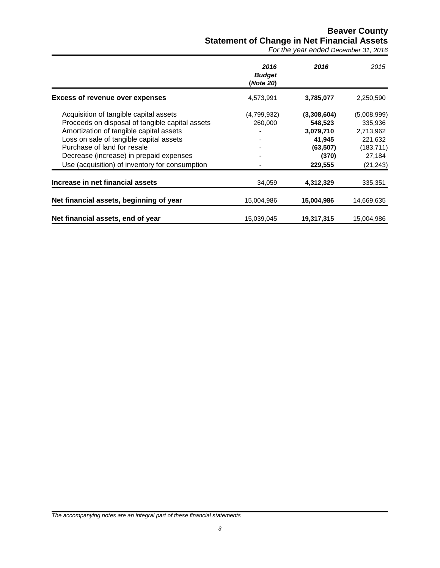**Beaver County Statement of Change in Net Financial Assets**

*For the year ended December 31, 2016*

|                                                                                                                                                                                                                                                                                                             | 2016<br><b>Budget</b><br>(Note 20) | 2016                                                                           | 2015                                                                                |
|-------------------------------------------------------------------------------------------------------------------------------------------------------------------------------------------------------------------------------------------------------------------------------------------------------------|------------------------------------|--------------------------------------------------------------------------------|-------------------------------------------------------------------------------------|
| <b>Excess of revenue over expenses</b>                                                                                                                                                                                                                                                                      | 4,573,991                          | 3,785,077                                                                      | 2,250,590                                                                           |
| Acquisition of tangible capital assets<br>Proceeds on disposal of tangible capital assets<br>Amortization of tangible capital assets<br>Loss on sale of tangible capital assets<br>Purchase of land for resale<br>Decrease (increase) in prepaid expenses<br>Use (acquisition) of inventory for consumption | (4,799,932)<br>260,000<br>۰        | (3,308,604)<br>548,523<br>3,079,710<br>41,945<br>(63, 507)<br>(370)<br>229,555 | (5,008,999)<br>335,936<br>2,713,962<br>221,632<br>(183, 711)<br>27,184<br>(21, 243) |
| Increase in net financial assets                                                                                                                                                                                                                                                                            | 34,059                             | 4,312,329                                                                      | 335,351                                                                             |
| Net financial assets, beginning of year                                                                                                                                                                                                                                                                     | 15,004,986                         | 15,004,986                                                                     | 14,669,635                                                                          |
| Net financial assets, end of year                                                                                                                                                                                                                                                                           | 15,039,045                         | 19,317,315                                                                     | 15,004,986                                                                          |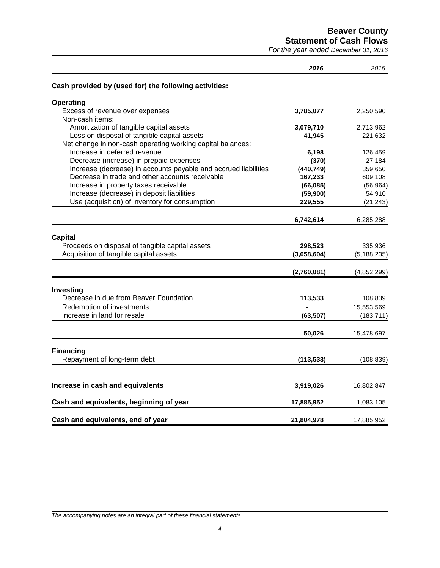**Beaver County**

**Statement of Cash Flows**

*For the year ended December 31, 2016*

|                                                                 | 2016        | 2015          |
|-----------------------------------------------------------------|-------------|---------------|
| Cash provided by (used for) the following activities:           |             |               |
| <b>Operating</b>                                                |             |               |
| Excess of revenue over expenses                                 | 3,785,077   | 2,250,590     |
| Non-cash items:                                                 |             |               |
| Amortization of tangible capital assets                         | 3,079,710   | 2,713,962     |
| Loss on disposal of tangible capital assets                     | 41,945      | 221,632       |
| Net change in non-cash operating working capital balances:      |             |               |
| Increase in deferred revenue                                    | 6,198       | 126,459       |
| Decrease (increase) in prepaid expenses                         | (370)       | 27,184        |
| Increase (decrease) in accounts payable and accrued liabilities | (440, 749)  | 359,650       |
| Decrease in trade and other accounts receivable                 | 167,233     | 609,108       |
| Increase in property taxes receivable                           | (66, 085)   | (56, 964)     |
| Increase (decrease) in deposit liabilities                      | (59,900)    | 54,910        |
| Use (acquisition) of inventory for consumption                  | 229,555     | (21, 243)     |
|                                                                 | 6,742,614   | 6,285,288     |
|                                                                 |             |               |
| <b>Capital</b>                                                  |             |               |
| Proceeds on disposal of tangible capital assets                 | 298,523     | 335,936       |
| Acquisition of tangible capital assets                          | (3,058,604) | (5, 188, 235) |
|                                                                 | (2,760,081) | (4,852,299)   |
| Investing                                                       |             |               |
| Decrease in due from Beaver Foundation                          | 113,533     | 108,839       |
| Redemption of investments                                       |             | 15,553,569    |
| Increase in land for resale                                     | (63, 507)   | (183, 711)    |
|                                                                 | 50,026      | 15,478,697    |
|                                                                 |             |               |
| <b>Financing</b>                                                |             |               |
| Repayment of long-term debt                                     | (113, 533)  | (108, 839)    |
|                                                                 |             |               |
| Increase in cash and equivalents                                | 3,919,026   | 16,802,847    |
| Cash and equivalents, beginning of year                         | 17,885,952  | 1,083,105     |
| Cash and equivalents, end of year                               | 21,804,978  | 17,885,952    |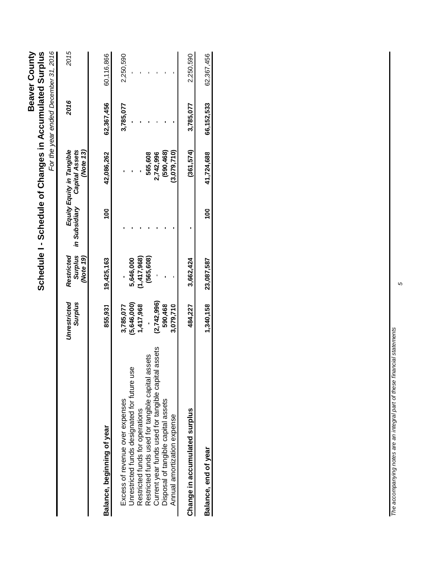| 62.367.456 | 66,152,533                           | 41,724,688                                               | $\frac{0}{1}$  | 23,087,587                                | 1,340,158               | Balance, end of year                                     |
|------------|--------------------------------------|----------------------------------------------------------|----------------|-------------------------------------------|-------------------------|----------------------------------------------------------|
| 2,250,590  | 3,785,077                            | (361,574)                                                |                | 3,662,424                                 | 484,227                 | Change in accumulated surplus                            |
|            |                                      | (3,079,710)                                              |                |                                           | 3,079,710               | Annual amortization expense                              |
|            |                                      | (590,468)                                                |                |                                           | 590,468                 | Disposal of tangible capital assets                      |
|            |                                      | 2,742,996                                                |                |                                           | (2,742,996)             | al assets<br>Current year funds used for tangible capita |
|            |                                      | 565,608                                                  |                | (565, 608)                                |                         | ssets<br>Restricted funds used for tangible capital a    |
|            |                                      |                                                          |                | (1,417,968)                               | 1,417,968               | Restricted funds for operations                          |
|            |                                      |                                                          |                | 5,646,000                                 | (5,646,000)             | Jnrestricted funds designated for future use             |
| 2,250,590  | 3,785,077                            |                                                          |                |                                           | 3,785,077               | Excess of revenue over expenses                          |
| 60,116,866 | 62,367,456                           | 42.086.262                                               | $\frac{0}{10}$ | 19,425,163                                | 855.931                 | Balance, beginning of year                               |
| 2015       | 2016                                 | Equity Equity in Tangible<br>Capital Assets<br>(Note 13) | in Subsidiary  | <b>Surplus</b><br>Restricted<br>(Note 19) | Unrestricted<br>Surplus |                                                          |
|            | For the year ended December 31, 2016 | Schedule I - Schedule of Changes in Accumulated Surplus  |                |                                           |                         |                                                          |

**Schedule I - Schedule of Changes in Accumulated Surplus Beaver County**

> The accompanying notes are an integral part of these financial statements *The accompanying notes are an integral part of these financial statements*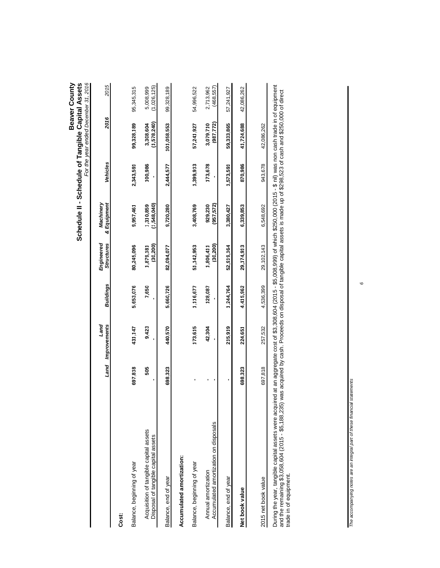|                                                                                                                                                                                                        |         |                           |                  |                                 | Schedule II - Schedule of Tangible Capital Assets                                                                                  |                 | For the year ended December 31, 2016 | Beaver County            |
|--------------------------------------------------------------------------------------------------------------------------------------------------------------------------------------------------------|---------|---------------------------|------------------|---------------------------------|------------------------------------------------------------------------------------------------------------------------------------|-----------------|--------------------------------------|--------------------------|
|                                                                                                                                                                                                        |         | Land<br>Land Improvements | <b>Buildings</b> | Engineered<br><b>Structures</b> | & Equipment<br>Machinery                                                                                                           | <b>Vehicles</b> | 2016                                 | 2015                     |
| Cost:                                                                                                                                                                                                  |         |                           |                  |                                 |                                                                                                                                    |                 |                                      |                          |
| Balance, beginning of year                                                                                                                                                                             | 697,818 | 431,147                   | 5,653,076        | 80,245,096                      | 9,957,461                                                                                                                          | 2,343,591       | 99,328,189                           | 95,345,315               |
| Acquisition of tangible capital assets<br>Disposal of tangible capital assets                                                                                                                          | 505     | 9,423                     | 7,650            | (30, 200)<br>1,879,181          | (1,548,040)<br>1,310,859                                                                                                           | 100,986         | (1,578,240)<br>3,308,604             | (1,026,125)<br>5,008,999 |
| Balance, end of year                                                                                                                                                                                   | 698,323 | 440,570                   | 5,660,726        | 82,094,077                      | 9,720,280                                                                                                                          | 2.444.577       | 101.058.553                          | 99,328,189               |
| Accumulated amortization:                                                                                                                                                                              |         |                           |                  |                                 |                                                                                                                                    |                 |                                      |                          |
| Balance, beginning of year                                                                                                                                                                             |         | 173,615                   | 1,116,677        | 51, 142, 953                    | 3,408,769                                                                                                                          | 1,399,913       | 57,241,927                           | 54,996,522               |
| Accumulated amortization on disposals<br>Annual amortization                                                                                                                                           |         | 42,304                    | 128,087          | (30, 200)<br>1,806,411          | (957,572)<br>929,230                                                                                                               | 173,678         | (987,772)<br>3,079,710               | (468, 557)<br>2,713,962  |
| Balance, end of year                                                                                                                                                                                   |         | 215,919                   | 1,244,764        | 52,919,164                      | 3,380,427                                                                                                                          | 1,573,591       | 59,333,865                           | 57,241,927               |
| Net book value                                                                                                                                                                                         | 698,323 | 224,651                   | 4,415,962        | 29,174,913                      | 6,339,853                                                                                                                          | 870,986         | 41,724,688                           | 42,086,262               |
| 2015 net book value                                                                                                                                                                                    | 697.818 | 257,532                   | 4,536,399        | 29,102,143                      | 6,548,692                                                                                                                          | 943,678         | 42,086,262                           |                          |
| and the monitor C2 OE3 GOA (2015, CE 1989 23E) was anning by cash. Drocode on disposition of the control of C208 E22 of cash and COO of direct<br>During the year, tangible capital assets were acquir |         |                           |                  |                                 | red at an aggregate cost of \$3,308,604 (2015 - \$5,008,999) of which \$250,000 (2015 - \$ nil) was non cash trade in of equipment |                 |                                      |                          |

ייט אויינו און איינו און א באוי און א באפי איינו און א באפי און א באפי און א באפי און א באפי און א באפי און אי<br>and the remaining \$3,058,604 (2015 - \$5,188,235) was acquired by cash. Proceeds on disposal of tangible capita and the remaining \$3,058,604 (2015 - \$5,188,235) was acquired by cash. Proceeds on disposal of cash. Proceeds on disposal assets is made up of \$298,523 of cash and \$250,000 of direct trade in of equipment.

The accompanying notes are an integral part of these financial statements *The accompanying notes are an integral part of these financial statements*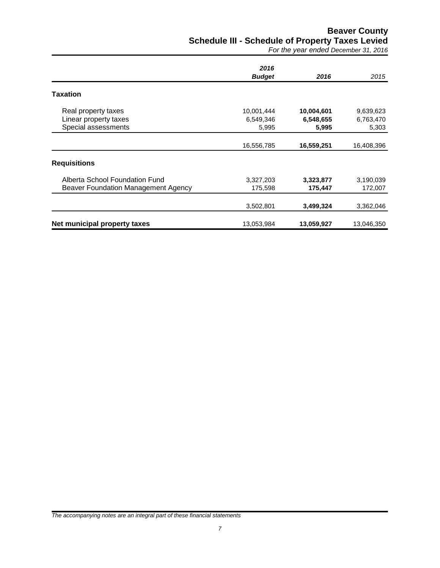# **Beaver County Schedule III - Schedule of Property Taxes Levied**

*For the year ended December 31, 2016*

|                                     | 2016          |            |            |
|-------------------------------------|---------------|------------|------------|
|                                     | <b>Budget</b> | 2016       | 2015       |
| <b>Taxation</b>                     |               |            |            |
| Real property taxes                 | 10,001,444    | 10,004,601 | 9,639,623  |
| Linear property taxes               | 6,549,346     | 6,548,655  | 6,763,470  |
| Special assessments                 | 5,995         | 5,995      | 5,303      |
|                                     | 16,556,785    | 16,559,251 | 16,408,396 |
| <b>Requisitions</b>                 |               |            |            |
| Alberta School Foundation Fund      | 3,327,203     | 3,323,877  | 3,190,039  |
| Beaver Foundation Management Agency | 175,598       | 175,447    | 172,007    |
|                                     | 3,502,801     | 3,499,324  | 3,362,046  |
| Net municipal property taxes        | 13,053,984    | 13,059,927 | 13,046,350 |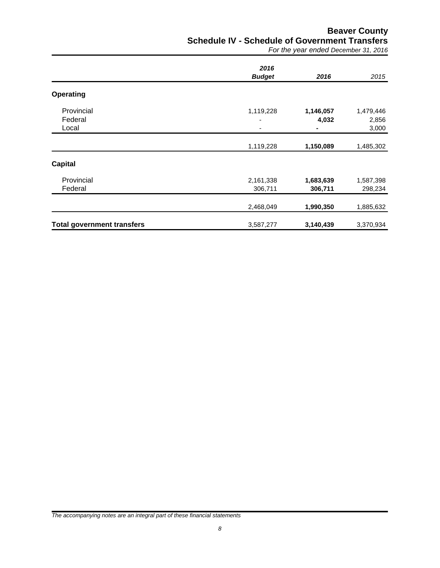# **Beaver County Schedule IV - Schedule of Government Transfers**

*For the year ended December 31, 2016*

|                                   | 2016<br><b>Budget</b> | 2016      | 2015      |
|-----------------------------------|-----------------------|-----------|-----------|
| <b>Operating</b>                  |                       |           |           |
| Provincial                        |                       |           |           |
|                                   | 1,119,228             | 1,146,057 | 1,479,446 |
| Federal                           | -                     | 4,032     | 2,856     |
| Local                             | ۰                     |           | 3,000     |
|                                   |                       | 1,150,089 | 1,485,302 |
|                                   | 1,119,228             |           |           |
| <b>Capital</b>                    |                       |           |           |
| Provincial                        | 2,161,338             | 1,683,639 | 1,587,398 |
| Federal                           | 306,711               | 306,711   | 298,234   |
|                                   |                       |           |           |
|                                   | 2,468,049             | 1,990,350 | 1,885,632 |
| <b>Total government transfers</b> | 3,587,277             | 3,140,439 | 3,370,934 |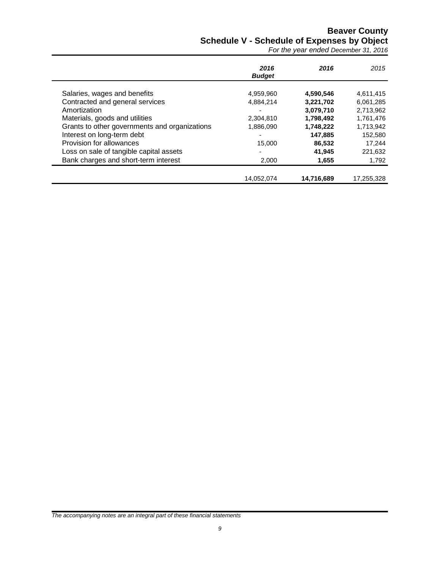# **Beaver County Schedule V - Schedule of Expenses by Object**

*For the year ended December 31, 2016*

|                                               | 2016<br><b>Budget</b>    | 2016       | 2015       |
|-----------------------------------------------|--------------------------|------------|------------|
| Salaries, wages and benefits                  | 4,959,960                | 4,590,546  | 4,611,415  |
| Contracted and general services               | 4,884,214                | 3,221,702  | 6,061,285  |
| Amortization                                  |                          | 3,079,710  | 2,713,962  |
| Materials, goods and utilities                | 2,304,810                | 1,798,492  | 1,761,476  |
| Grants to other governments and organizations | 1,886,090                | 1,748,222  | 1,713,942  |
| Interest on long-term debt                    |                          | 147,885    | 152,580    |
| Provision for allowances                      | 15.000                   | 86,532     | 17.244     |
| Loss on sale of tangible capital assets       | $\overline{\phantom{0}}$ | 41,945     | 221,632    |
| Bank charges and short-term interest          | 2,000                    | 1,655      | 1,792      |
|                                               | 14,052,074               | 14,716,689 | 17,255,328 |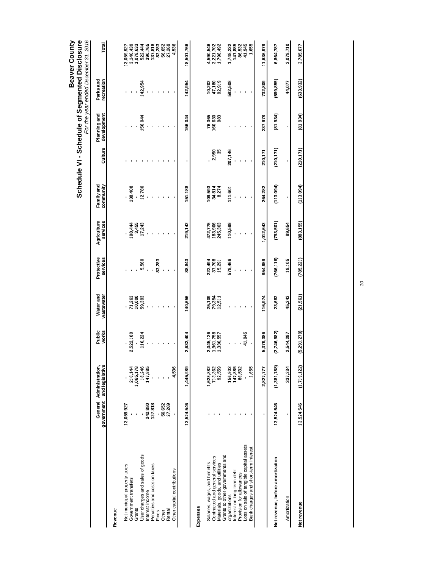|                                                                                                     |                  |                                            |                                     |                            |                             |                               |                            |             | Schedule VI - Schedule of Segmented Disclosure | For the year ended December 31, 2016 | Beaver County                       |
|-----------------------------------------------------------------------------------------------------|------------------|--------------------------------------------|-------------------------------------|----------------------------|-----------------------------|-------------------------------|----------------------------|-------------|------------------------------------------------|--------------------------------------|-------------------------------------|
|                                                                                                     | government       | and legislative<br>General Administration, | Public<br>works                     | Water and<br>wastewater    | Protective<br>services      | Agriculture<br>services       | Family and<br>community    | Culture     | Planning and<br>development                    | Parks and<br>recreation              | Total                               |
| Revenue                                                                                             |                  |                                            |                                     |                            |                             |                               |                            |             |                                                |                                      |                                     |
| Net municipal property taxes                                                                        | 13,059,927       |                                            |                                     |                            |                             |                               |                            |             |                                                |                                      | 13,059,927                          |
| Government transfers                                                                                |                  | 210,144                                    | 2,522,180                           | 71,263                     |                             |                               | 138,408                    |             |                                                |                                      | 3,140,439                           |
| Grants                                                                                              |                  | 1,065,178                                  |                                     | 10,000                     |                             | 198,444<br>3,455              |                            |             |                                                |                                      | 1,078,633                           |
| User charges and sales of goods                                                                     |                  | 18,246<br>147,885                          | 110,224                             | 59,393                     | 5,560                       | 17,243                        | 12,780                     |             | 156,044                                        | 142,954                              | 522,444<br>390,765                  |
| Interest income                                                                                     | 242,880          |                                            |                                     |                            |                             |                               |                            |             |                                                |                                      |                                     |
| Penalties and costs on taxes                                                                        | 137,818          |                                            |                                     |                            |                             |                               |                            |             |                                                |                                      | 137,818                             |
| Fines<br>Other                                                                                      | ï                |                                            |                                     |                            | 83,283                      |                               |                            |             |                                                |                                      | 83,283                              |
| Rental                                                                                              | 56,652<br>27,269 |                                            |                                     |                            |                             |                               |                            |             |                                                |                                      | 56,652<br>27,269                    |
| Other capital contributions                                                                         |                  | 4,536                                      |                                     |                            |                             |                               |                            |             |                                                |                                      | 4,536                               |
|                                                                                                     | 13,524,546       | 1,445,989                                  | 2,632,404                           | 140,656                    | 88,843                      | 219,142                       | 151,188                    |             | 156,044                                        | 142,954                              | 18,501,766                          |
| Expenses                                                                                            |                  |                                            |                                     |                            |                             |                               |                            |             |                                                |                                      |                                     |
|                                                                                                     |                  |                                            |                                     |                            |                             |                               |                            |             |                                                |                                      |                                     |
| Contracted and general services<br>Salaries, wages, and benefits<br>Materials, goods, and utilities |                  | 713,362<br>92,559<br>1,628,882             | 2,045,126<br>1,961,758<br>1,330,557 | 25,109<br>79,354<br>72,511 | 222,494<br>37,708<br>15,291 | 183,906<br>245,363<br>472,775 | 109,593<br>34,814<br>8,274 | 35<br>2,990 | 76,365<br>160,630<br>983                       | 47,180<br>92,919<br>10,202           | 4,590,546<br>3,221,702<br>1,798,492 |
| Grants to other governments and<br>organizations                                                    |                  | 156,902                                    |                                     |                            | 579,466                     | 110,599                       | 111,601                    | 207,146     |                                                | 582,508                              | 1,748,222                           |
| Interest on long-term debt                                                                          |                  | 147,885                                    |                                     |                            |                             |                               |                            |             |                                                |                                      | 147,885                             |
| Provision for allowances                                                                            |                  | 86,532                                     |                                     |                            |                             |                               |                            |             |                                                |                                      | 86,532                              |
| Loss on sale of tangible capital assets<br>Bank charges and short-term interest                     |                  | 1,655                                      | 41,945<br>$\blacksquare$            |                            |                             |                               |                            |             |                                                |                                      | 41,945<br>1,655                     |
|                                                                                                     |                  | 2,827,777                                  | 5,379,386                           | 116,974                    | 854,959                     | 1,012,643                     | 264,282                    | 210,171     | 237,978                                        | 732,809                              | 11,636,979                          |
| Net revenue, before amortization                                                                    | 13,524,546       | (1,381,788)                                | (2,746,982)                         | 23,682                     | (766, 116)                  | (793, 501)                    | (113,094)                  | (210, 171)  | (81, 934)                                      | (589,855)                            | 6,864,787                           |
| Amortization                                                                                        |                  | 337,334                                    | 2,544,297                           | 45,243                     | 19,105                      | 89,654                        |                            |             |                                                | 44,077                               | 3,079,710                           |
| Net revenue                                                                                         | 13,524,546       | (1,719,122)                                | (5, 291, 279)                       | (21,561)                   | (785, 221)                  | (883, 155)                    | (113, 094)                 | (210, 171)  | (81, 934)                                      | (633, 932)                           | 3,785,077                           |
|                                                                                                     |                  |                                            |                                     |                            |                             |                               |                            |             |                                                |                                      |                                     |

*10*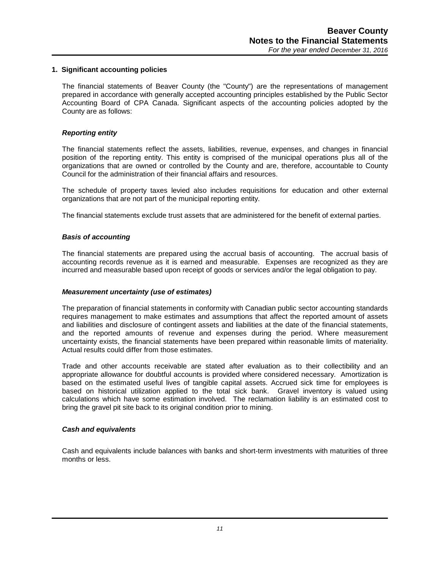#### **1. Significant accounting policies**

The financial statements of Beaver County (the "County") are the representations of management prepared in accordance with generally accepted accounting principles established by the Public Sector Accounting Board of CPA Canada. Significant aspects of the accounting policies adopted by the County are as follows:

# *Reporting entity*

The financial statements reflect the assets, liabilities, revenue, expenses, and changes in financial position of the reporting entity. This entity is comprised of the municipal operations plus all of the organizations that are owned or controlled by the County and are, therefore, accountable to County Council for the administration of their financial affairs and resources.

The schedule of property taxes levied also includes requisitions for education and other external organizations that are not part of the municipal reporting entity.

The financial statements exclude trust assets that are administered for the benefit of external parties.

#### *Basis of accounting*

The financial statements are prepared using the accrual basis of accounting. The accrual basis of accounting records revenue as it is earned and measurable. Expenses are recognized as they are incurred and measurable based upon receipt of goods or services and/or the legal obligation to pay.

#### *Measurement uncertainty (use of estimates)*

The preparation of financial statements in conformity with Canadian public sector accounting standards requires management to make estimates and assumptions that affect the reported amount of assets and liabilities and disclosure of contingent assets and liabilities at the date of the financial statements, and the reported amounts of revenue and expenses during the period. Where measurement uncertainty exists, the financial statements have been prepared within reasonable limits of materiality. Actual results could differ from those estimates.

Trade and other accounts receivable are stated after evaluation as to their collectibility and an appropriate allowance for doubtful accounts is provided where considered necessary. Amortization is based on the estimated useful lives of tangible capital assets. Accrued sick time for employees is based on historical utilization applied to the total sick bank. Gravel inventory is valued using calculations which have some estimation involved. The reclamation liability is an estimated cost to bring the gravel pit site back to its original condition prior to mining.

#### *Cash and equivalents*

Cash and equivalents include balances with banks and short-term investments with maturities of three months or less.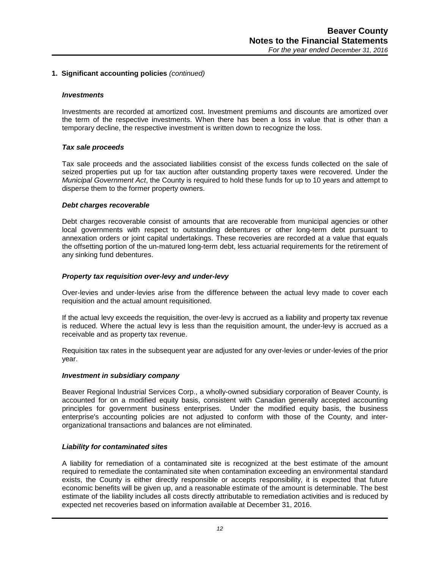#### *Investments*

Investments are recorded at amortized cost. Investment premiums and discounts are amortized over the term of the respective investments. When there has been a loss in value that is other than a temporary decline, the respective investment is written down to recognize the loss.

#### *Tax sale proceeds*

Tax sale proceeds and the associated liabilities consist of the excess funds collected on the sale of seized properties put up for tax auction after outstanding property taxes were recovered. Under the *Municipal Government Act*, the County is required to hold these funds for up to 10 years and attempt to disperse them to the former property owners.

#### *Debt charges recoverable*

Debt charges recoverable consist of amounts that are recoverable from municipal agencies or other local governments with respect to outstanding debentures or other long-term debt pursuant to annexation orders or joint capital undertakings. These recoveries are recorded at a value that equals the offsetting portion of the un-matured long-term debt, less actuarial requirements for the retirement of any sinking fund debentures.

# *Property tax requisition over-levy and under-levy*

Over-levies and under-levies arise from the difference between the actual levy made to cover each requisition and the actual amount requisitioned.

If the actual levy exceeds the requisition, the over-levy is accrued as a liability and property tax revenue is reduced. Where the actual levy is less than the requisition amount, the under-levy is accrued as a receivable and as property tax revenue.

Requisition tax rates in the subsequent year are adjusted for any over-levies or under-levies of the prior year.

#### *Investment in subsidiary company*

Beaver Regional Industrial Services Corp., a wholly-owned subsidiary corporation of Beaver County, is accounted for on a modified equity basis, consistent with Canadian generally accepted accounting principles for government business enterprises. Under the modified equity basis, the business enterprise's accounting policies are not adjusted to conform with those of the County, and interorganizational transactions and balances are not eliminated.

# *Liability for contaminated sites*

A liability for remediation of a contaminated site is recognized at the best estimate of the amount required to remediate the contaminated site when contamination exceeding an environmental standard exists, the County is either directly responsible or accepts responsibility, it is expected that future economic benefits will be given up, and a reasonable estimate of the amount is determinable. The best estimate of the liability includes all costs directly attributable to remediation activities and is reduced by expected net recoveries based on information available at December 31, 2016.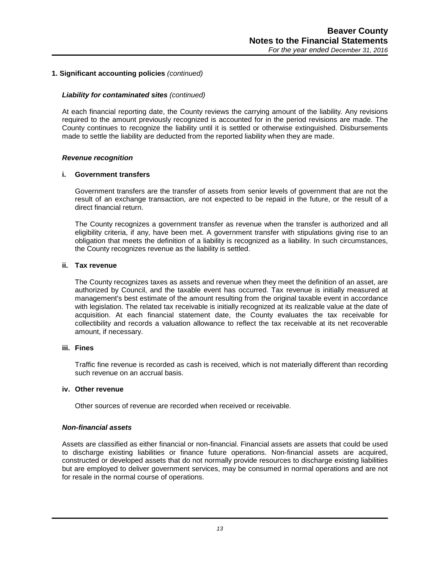# *Liability for contaminated sites (continued)*

At each financial reporting date, the County reviews the carrying amount of the liability. Any revisions required to the amount previously recognized is accounted for in the period revisions are made. The County continues to recognize the liability until it is settled or otherwise extinguished. Disbursements made to settle the liability are deducted from the reported liability when they are made.

# *Revenue recognition*

#### **i. Government transfers**

Government transfers are the transfer of assets from senior levels of government that are not the result of an exchange transaction, are not expected to be repaid in the future, or the result of a direct financial return.

The County recognizes a government transfer as revenue when the transfer is authorized and all eligibility criteria, if any, have been met. A government transfer with stipulations giving rise to an obligation that meets the definition of a liability is recognized as a liability. In such circumstances, the County recognizes revenue as the liability is settled.

#### **ii. Tax revenue**

The County recognizes taxes as assets and revenue when they meet the definition of an asset, are authorized by Council, and the taxable event has occurred. Tax revenue is initially measured at management's best estimate of the amount resulting from the original taxable event in accordance with legislation. The related tax receivable is initially recognized at its realizable value at the date of acquisition. At each financial statement date, the County evaluates the tax receivable for collectibility and records a valuation allowance to reflect the tax receivable at its net recoverable amount, if necessary.

#### **iii. Fines**

Traffic fine revenue is recorded as cash is received, which is not materially different than recording such revenue on an accrual basis.

#### **iv. Other revenue**

Other sources of revenue are recorded when received or receivable.

# *Non-financial assets*

Assets are classified as either financial or non-financial. Financial assets are assets that could be used to discharge existing liabilities or finance future operations. Non-financial assets are acquired, constructed or developed assets that do not normally provide resources to discharge existing liabilities but are employed to deliver government services, may be consumed in normal operations and are not for resale in the normal course of operations.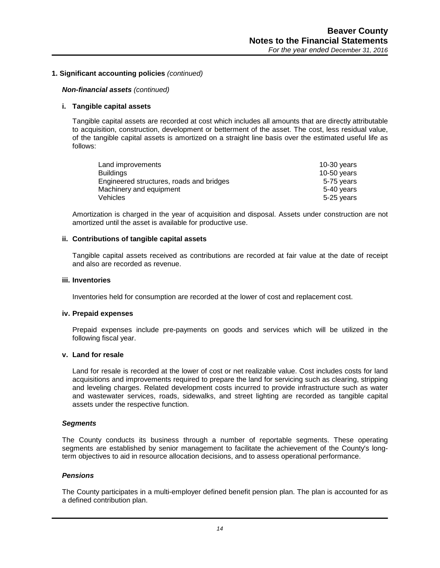# *Non-financial assets (continued)*

# **i. Tangible capital assets**

Tangible capital assets are recorded at cost which includes all amounts that are directly attributable to acquisition, construction, development or betterment of the asset. The cost, less residual value, of the tangible capital assets is amortized on a straight line basis over the estimated useful life as follows:

| Land improvements                        | 10-30 $years$ |
|------------------------------------------|---------------|
| <b>Buildings</b>                         | 10-50 years   |
| Engineered structures, roads and bridges | 5-75 years    |
| Machinery and equipment                  | 5-40 years    |
| Vehicles                                 | 5-25 years    |

Amortization is charged in the year of acquisition and disposal. Assets under construction are not amortized until the asset is available for productive use.

# **ii. Contributions of tangible capital assets**

Tangible capital assets received as contributions are recorded at fair value at the date of receipt and also are recorded as revenue.

#### **iii. Inventories**

Inventories held for consumption are recorded at the lower of cost and replacement cost.

# **iv. Prepaid expenses**

Prepaid expenses include pre-payments on goods and services which will be utilized in the following fiscal year.

# **v. Land for resale**

Land for resale is recorded at the lower of cost or net realizable value. Cost includes costs for land acquisitions and improvements required to prepare the land for servicing such as clearing, stripping and leveling charges. Related development costs incurred to provide infrastructure such as water and wastewater services, roads, sidewalks, and street lighting are recorded as tangible capital assets under the respective function.

# *Segments*

The County conducts its business through a number of reportable segments. These operating segments are established by senior management to facilitate the achievement of the County's longterm objectives to aid in resource allocation decisions, and to assess operational performance.

# *Pensions*

The County participates in a multi-employer defined benefit pension plan. The plan is accounted for as a defined contribution plan.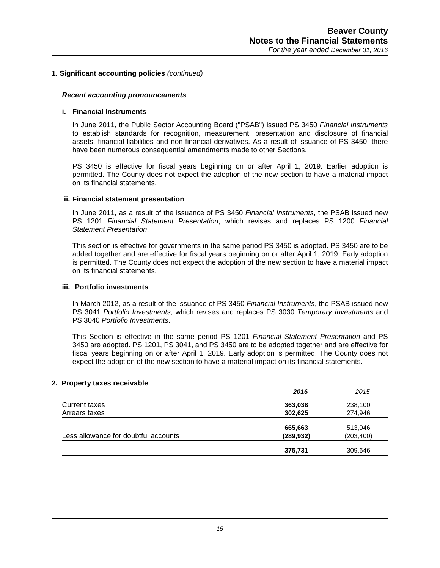#### *Recent accounting pronouncements*

#### **i. Financial Instruments**

In June 2011, the Public Sector Accounting Board ("PSAB") issued PS 3450 *Financial Instruments* to establish standards for recognition, measurement, presentation and disclosure of financial assets, financial liabilities and non-financial derivatives. As a result of issuance of PS 3450, there have been numerous consequential amendments made to other Sections.

PS 3450 is effective for fiscal years beginning on or after April 1, 2019. Earlier adoption is permitted. The County does not expect the adoption of the new section to have a material impact on its financial statements.

#### **ii. Financial statement presentation**

In June 2011, as a result of the issuance of PS 3450 *Financial Instruments*, the PSAB issued new PS 1201 *Financial Statement Presentation*, which revises and replaces PS 1200 *Financial Statement Presentation*.

This section is effective for governments in the same period PS 3450 is adopted. PS 3450 are to be added together and are effective for fiscal years beginning on or after April 1, 2019. Early adoption is permitted. The County does not expect the adoption of the new section to have a material impact on its financial statements.

#### **iii. Portfolio investments**

In March 2012, as a result of the issuance of PS 3450 *Financial Instruments*, the PSAB issued new PS 3041 *Portfolio Investments*, which revises and replaces PS 3030 *Temporary Investments* and PS 3040 *Portfolio Investments*.

This Section is effective in the same period PS 1201 *Financial Statement Presentation* and PS 3450 are adopted. PS 1201, PS 3041, and PS 3450 are to be adopted together and are effective for fiscal years beginning on or after April 1, 2019. Early adoption is permitted. The County does not expect the adoption of the new section to have a material impact on its financial statements.

#### **2. Property taxes receivable**

|                                      | 2016       | 2015       |
|--------------------------------------|------------|------------|
| Current taxes                        | 363,038    | 238,100    |
| Arrears taxes                        | 302.625    | 274,946    |
|                                      | 665,663    | 513,046    |
| Less allowance for doubtful accounts | (289, 932) | (203, 400) |
|                                      | 375,731    | 309,646    |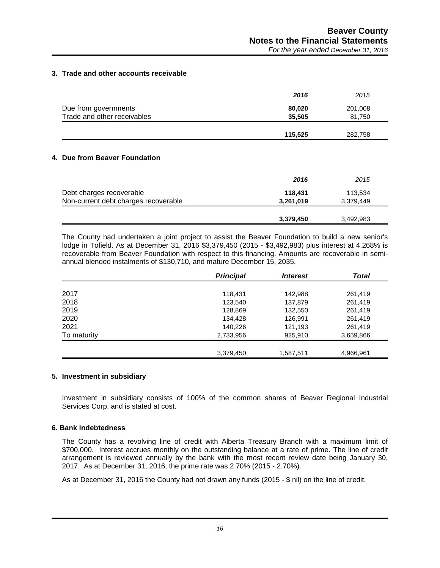# **3. Trade and other accounts receivable**

|                                      | 2016      | 2015      |
|--------------------------------------|-----------|-----------|
| Due from governments                 | 80,020    | 201,008   |
| Trade and other receivables          | 35,505    | 81,750    |
|                                      | 115,525   | 282,758   |
| 4. Due from Beaver Foundation        |           |           |
|                                      | 2016      | 2015      |
| Debt charges recoverable             | 118,431   | 113,534   |
| Non-current debt charges recoverable | 3,261,019 | 3,379,449 |
|                                      |           |           |

The County had undertaken a joint project to assist the Beaver Foundation to build a new senior's lodge in Tofield. As at December 31, 2016 \$3,379,450 (2015 - \$3,492,983) plus interest at 4.268% is recoverable from Beaver Foundation with respect to this financing. Amounts are recoverable in semiannual blended instalments of \$130,710, and mature December 15, 2035.

|             | <b>Principal</b> | <i><b>Interest</b></i> | <b>Total</b> |
|-------------|------------------|------------------------|--------------|
|             |                  |                        |              |
| 2017        | 118,431          | 142,988                | 261,419      |
| 2018        | 123,540          | 137,879                | 261,419      |
| 2019        | 128,869          | 132,550                | 261,419      |
| 2020        | 134,428          | 126,991                | 261,419      |
| 2021        | 140,226          | 121,193                | 261,419      |
| To maturity | 2,733,956        | 925,910                | 3,659,866    |
|             | 3,379,450        | 1,587,511              | 4,966,961    |

# **5. Investment in subsidiary**

Investment in subsidiary consists of 100% of the common shares of Beaver Regional Industrial Services Corp. and is stated at cost.

# **6. Bank indebtedness**

The County has a revolving line of credit with Alberta Treasury Branch with a maximum limit of \$700,000. Interest accrues monthly on the outstanding balance at a rate of prime. The line of credit arrangement is reviewed annually by the bank with the most recent review date being January 30, 2017. As at December 31, 2016, the prime rate was 2.70% (2015 - 2.70%).

As at December 31, 2016 the County had not drawn any funds (2015 - \$ nil) on the line of credit.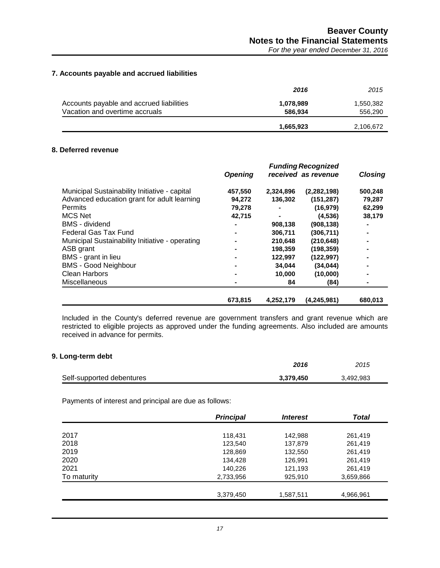# **7. Accounts payable and accrued liabilities**

|                                          | 1.665.923 | 2,106,672 |
|------------------------------------------|-----------|-----------|
| Vacation and overtime accruals           | 586.934   | 556,290   |
| Accounts payable and accrued liabilities | 1.078.989 | 1,550,382 |
|                                          | 2016      | 2015      |

# **8. Deferred revenue**

|                                                 | <b>Funding Recognized</b> |           |                     |                |
|-------------------------------------------------|---------------------------|-----------|---------------------|----------------|
|                                                 | <b>Opening</b>            |           | received as revenue | <b>Closing</b> |
| Municipal Sustainability Initiative - capital   | 457,550                   | 2,324,896 | (2, 282, 198)       | 500,248        |
| Advanced education grant for adult learning     | 94,272                    | 136,302   | (151, 287)          | 79,287         |
| Permits                                         | 79,278                    |           | (16, 979)           | 62,299         |
| <b>MCS Net</b>                                  | 42,715                    | ۰         | (4,536)             | 38,179         |
| <b>BMS</b> - dividend                           |                           | 908,138   | (908, 138)          |                |
| <b>Federal Gas Tax Fund</b>                     |                           | 306,711   | (306, 711)          |                |
| Municipal Sustainability Initiative - operating |                           | 210,648   | (210, 648)          |                |
| ASB grant                                       |                           | 198,359   | (198, 359)          |                |
| BMS - grant in lieu                             |                           | 122,997   | (122, 997)          |                |
| <b>BMS - Good Neighbour</b>                     |                           | 34,044    | (34, 044)           |                |
| <b>Clean Harbors</b>                            |                           | 10.000    | (10,000)            |                |
| Miscellaneous                                   |                           | 84        | (84)                |                |
|                                                 | 673,815                   | 4,252,179 | (4,245,981)         | 680,013        |

Included in the County's deferred revenue are government transfers and grant revenue which are restricted to eligible projects as approved under the funding agreements. Also included are amounts received in advance for permits.

# **9. Long-term debt**

|                           | 2016      | 2015      |
|---------------------------|-----------|-----------|
| Self-supported debentures | 3,379,450 | 3,492,983 |

Payments of interest and principal are due as follows:

|             | <b>Principal</b> | <i><b>Interest</b></i> | <b>Total</b> |
|-------------|------------------|------------------------|--------------|
|             |                  |                        |              |
| 2017        | 118,431          | 142,988                | 261,419      |
| 2018        | 123,540          | 137,879                | 261,419      |
| 2019        | 128,869          | 132,550                | 261,419      |
| 2020        | 134,428          | 126,991                | 261,419      |
| 2021        | 140.226          | 121,193                | 261,419      |
| To maturity | 2,733,956        | 925,910                | 3,659,866    |
|             | 3,379,450        | 1,587,511              | 4,966,961    |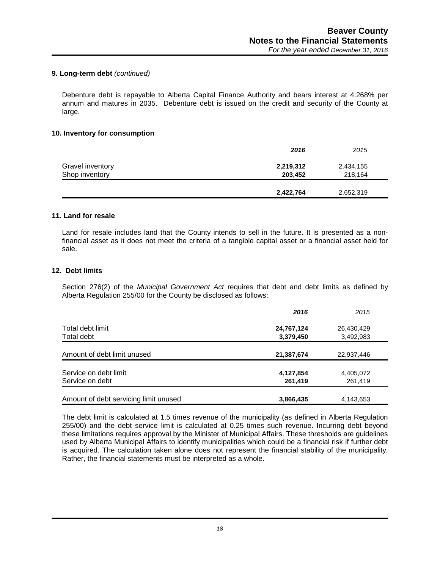# **9. Long-term debt** *(continued)*

Debenture debt is repayable to Alberta Capital Finance Authority and bears interest at 4.268% per annum and matures in 2035. Debenture debt is issued on the credit and security of the County at large.

# **10. Inventory for consumption**

|                                    | 2,422,764            | 2,652,319            |
|------------------------------------|----------------------|----------------------|
| Gravel inventory<br>Shop inventory | 2,219,312<br>203,452 | 2,434,155<br>218,164 |
|                                    | 2016                 | 2015                 |

# **11. Land for resale**

Land for resale includes land that the County intends to sell in the future. It is presented as a nonfinancial asset as it does not meet the criteria of a tangible capital asset or a financial asset held for sale.

# **12. Debt limits**

Section 276(2) of the *Municipal Government Act* requires that debt and debt limits as defined by Alberta Regulation 255/00 for the County be disclosed as follows:

|                                          | 2016                 | 2015                 |
|------------------------------------------|----------------------|----------------------|
| Total debt limit                         | 24,767,124           | 26,430,429           |
| Total debt                               | 3,379,450            | 3,492,983            |
| Amount of debt limit unused              | 21,387,674           | 22,937,446           |
| Service on debt limit<br>Service on debt | 4,127,854<br>261,419 | 4,405,072<br>261,419 |
| Amount of debt servicing limit unused    | 3,866,435            | 4,143,653            |

The debt limit is calculated at 1.5 times revenue of the municipality (as defined in Alberta Regulation 255/00) and the debt service limit is calculated at 0.25 times such revenue. Incurring debt beyond these limitations requires approval by the Minister of Municipal Affairs. These thresholds are guidelines used by Alberta Municipal Affairs to identify municipalities which could be a financial risk if further debt is acquired. The calculation taken alone does not represent the financial stability of the municipality. Rather, the financial statements must be interpreted as a whole.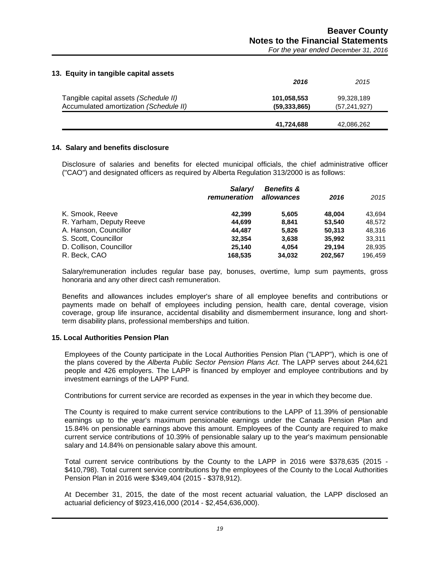*For the year ended December 31, 2016*

| 13. Equity in tangible capital assets  |              |                |
|----------------------------------------|--------------|----------------|
|                                        | 2016         | 2015           |
| Tangible capital assets (Schedule II)  | 101,058,553  | 99,328,189     |
| Accumulated amortization (Schedule II) | (59.333.865) | (57, 241, 927) |
|                                        | 41,724,688   | 42,086,262     |

# **14. Salary and benefits disclosure**

Disclosure of salaries and benefits for elected municipal officials, the chief administrative officer ("CAO") and designated officers as required by Alberta Regulation 313/2000 is as follows:

|                         | Salary/      | <b>Benefits &amp;</b> |         |         |
|-------------------------|--------------|-----------------------|---------|---------|
|                         | remuneration | allowances            | 2016    | 2015    |
| K. Smook, Reeve         | 42.399       | 5,605                 | 48.004  | 43.694  |
| R. Yarham, Deputy Reeve | 44.699       | 8.841                 | 53.540  | 48.572  |
| A. Hanson, Councillor   | 44.487       | 5.826                 | 50.313  | 48.316  |
| S. Scott, Councillor    | 32.354       | 3,638                 | 35.992  | 33,311  |
| D. Collison, Councillor | 25.140       | 4.054                 | 29.194  | 28.935  |
| R. Beck, CAO            | 168,535      | 34,032                | 202.567 | 196.459 |

Salary/remuneration includes regular base pay, bonuses, overtime, lump sum payments, gross honoraria and any other direct cash remuneration.

Benefits and allowances includes employer's share of all employee benefits and contributions or payments made on behalf of employees including pension, health care, dental coverage, vision coverage, group life insurance, accidental disability and dismemberment insurance, long and shortterm disability plans, professional memberships and tuition.

# **15. Local Authorities Pension Plan**

Employees of the County participate in the Local Authorities Pension Plan ("LAPP"), which is one of the plans covered by the *Alberta Public Sector Pension Plans Act*. The LAPP serves about 244,621 people and 426 employers. The LAPP is financed by employer and employee contributions and by investment earnings of the LAPP Fund.

Contributions for current service are recorded as expenses in the year in which they become due.

The County is required to make current service contributions to the LAPP of 11.39% of pensionable earnings up to the year's maximum pensionable earnings under the Canada Pension Plan and 15.84% on pensionable earnings above this amount. Employees of the County are required to make current service contributions of 10.39% of pensionable salary up to the year's maximum pensionable salary and 14.84% on pensionable salary above this amount.

Total current service contributions by the County to the LAPP in 2016 were \$378,635 (2015 - \$410,798). Total current service contributions by the employees of the County to the Local Authorities Pension Plan in 2016 were \$349,404 (2015 - \$378,912).

At December 31, 2015, the date of the most recent actuarial valuation, the LAPP disclosed an actuarial deficiency of \$923,416,000 (2014 - \$2,454,636,000).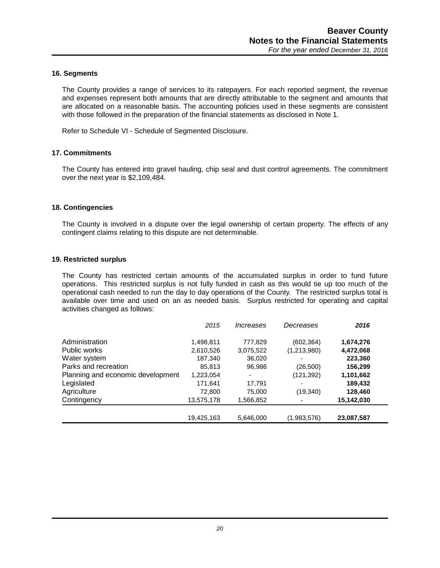#### **16. Segments**

The County provides a range of services to its ratepayers. For each reported segment, the revenue and expenses represent both amounts that are directly attributable to the segment and amounts that are allocated on a reasonable basis. The accounting policies used in these segments are consistent with those followed in the preparation of the financial statements as disclosed in Note 1.

Refer to Schedule VI - Schedule of Segmented Disclosure.

#### **17. Commitments**

The County has entered into gravel hauling, chip seal and dust control agreements. The commitment over the next year is \$2,109,484.

#### **18. Contingencies**

The County is involved in a dispute over the legal ownership of certain property. The effects of any contingent claims relating to this dispute are not determinable.

#### **19. Restricted surplus**

The County has restricted certain amounts of the accumulated surplus in order to fund future operations. This restricted surplus is not fully funded in cash as this would tie up too much of the operational cash needed to run the day to day operations of the County. The restricted surplus total is available over time and used on an as needed basis. Surplus restricted for operating and capital activities changed as follows:

|                                   | 2015       | Increases | Decreases   | 2016       |
|-----------------------------------|------------|-----------|-------------|------------|
| Administration                    | 1,498,811  | 777,829   | (602, 364)  | 1,674,276  |
| Public works                      | 2,610,526  | 3,075,522 | (1,213,980) | 4,472,068  |
| Water system                      | 187.340    | 36,020    |             | 223,360    |
| Parks and recreation              | 85,813     | 96,986    | (26, 500)   | 156,299    |
| Planning and economic development | 1,223,054  | ۰         | (121, 392)  | 1,101,662  |
| Legislated                        | 171,641    | 17.791    |             | 189,432    |
| Agriculture                       | 72,800     | 75,000    | (19, 340)   | 128,460    |
| Contingency                       | 13,575,178 | 1,566,852 |             | 15,142,030 |
|                                   |            |           |             |            |
|                                   | 19,425,163 | 5,646,000 | (1,983,576) | 23,087,587 |